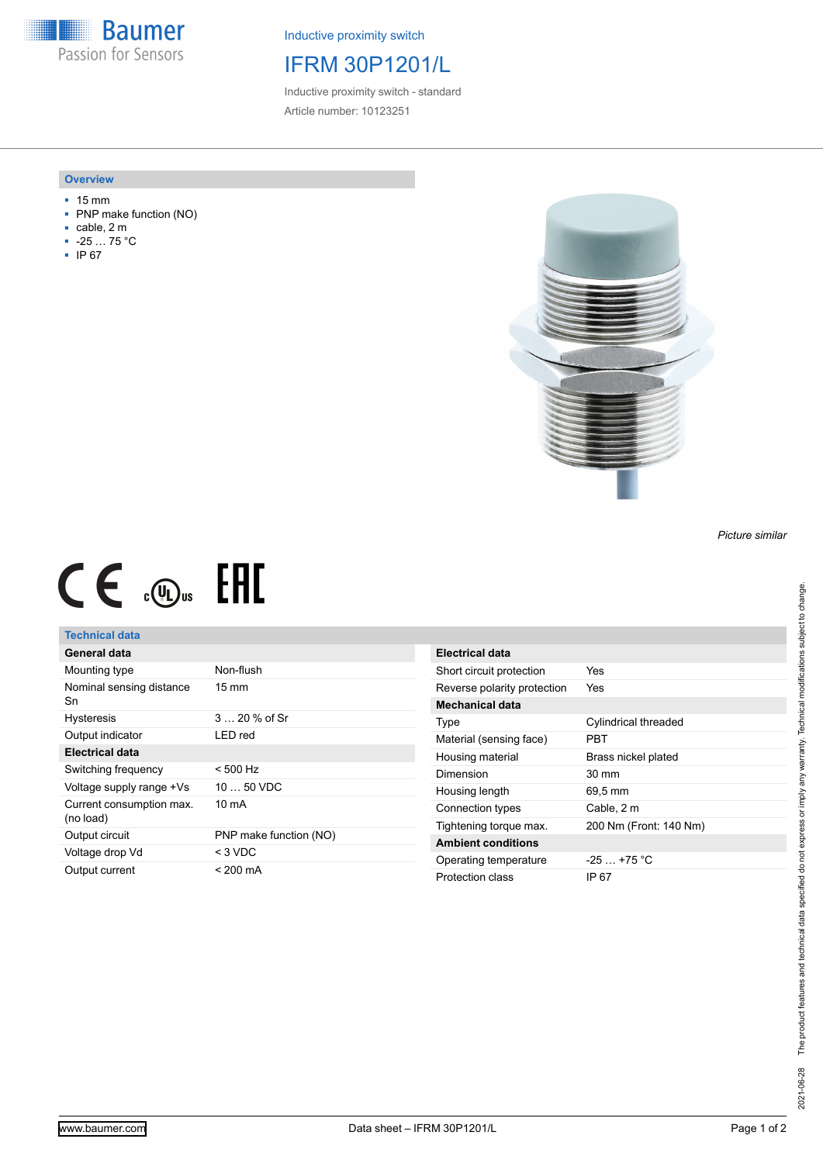**Baumer** Passion for Sensors

Inductive proximity switch

## IFRM 30P1201/L

Inductive proximity switch - standard Article number: 10123251

#### **Overview**

- 15 mm
- PNP make function (NO)
- cable, 2 m
- -25 … 75 °C
- IP 67



# $CE \mathcal{L}$  .  $\mathbb{G}$  as  $EHI$

### **Technical data**

| General data                          |                        |
|---------------------------------------|------------------------|
| Mounting type                         | Non-flush              |
| Nominal sensing distance<br>Sn        | $15 \text{ mm}$        |
| <b>Hysteresis</b>                     | 3  20 % of Sr          |
| Output indicator                      | I FD red               |
| Electrical data                       |                        |
| Switching frequency                   | $< 500$ Hz             |
| Voltage supply range +Vs              | $1050$ VDC             |
| Current consumption max.<br>(no load) | 10 mA                  |
| Output circuit                        | PNP make function (NO) |
| Voltage drop Vd                       | $<$ 3 VDC              |
| Output current                        | $< 200 \text{ mA}$     |

| Electrical data             |                        |
|-----------------------------|------------------------|
| Short circuit protection    | Yes                    |
| Reverse polarity protection | Yes                    |
| Mechanical data             |                        |
| Type                        | Cylindrical threaded   |
| Material (sensing face)     | PRT                    |
| Housing material            | Brass nickel plated    |
| Dimension                   | 30 mm                  |
| Housing length              | 69.5 mm                |
| Connection types            | Cable, 2 m             |
| Tightening torque max.      | 200 Nm (Front: 140 Nm) |
| <b>Ambient conditions</b>   |                        |
| Operating temperature       | $-25+75 °C$            |
| Protection class            | IP 67                  |

*Picture similar*